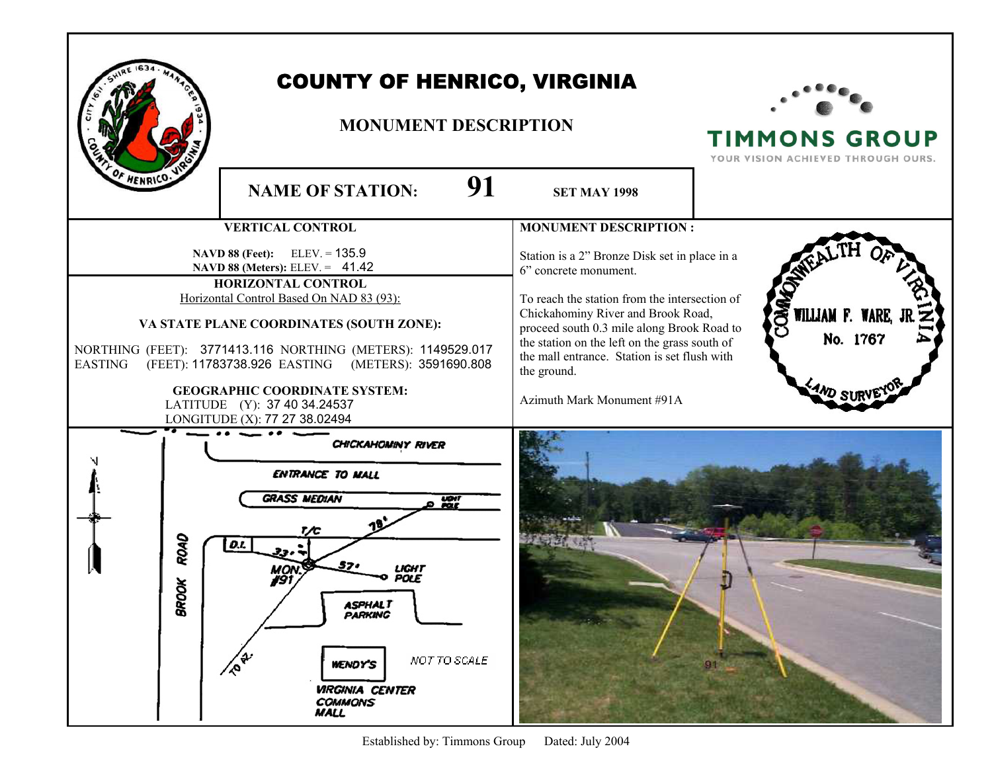|                                                                                                                                                                                                                                                                                                                                                                                                                                | <b>COUNTY OF HENRICO, VIRGINIA</b><br><b>MONUMENT DESCRIPTION</b>                                                                                                                                                              |                                                                                                                                                                                                                                                                                                                                                           | <b>TIMMONS GROUP</b><br>YOUR VISION ACHIEVED THROUGH OURS. |
|--------------------------------------------------------------------------------------------------------------------------------------------------------------------------------------------------------------------------------------------------------------------------------------------------------------------------------------------------------------------------------------------------------------------------------|--------------------------------------------------------------------------------------------------------------------------------------------------------------------------------------------------------------------------------|-----------------------------------------------------------------------------------------------------------------------------------------------------------------------------------------------------------------------------------------------------------------------------------------------------------------------------------------------------------|------------------------------------------------------------|
| F HENRICO.                                                                                                                                                                                                                                                                                                                                                                                                                     | 91<br><b>NAME OF STATION:</b>                                                                                                                                                                                                  | <b>SET MAY 1998</b>                                                                                                                                                                                                                                                                                                                                       |                                                            |
|                                                                                                                                                                                                                                                                                                                                                                                                                                | <b>VERTICAL CONTROL</b>                                                                                                                                                                                                        | <b>MONUMENT DESCRIPTION:</b>                                                                                                                                                                                                                                                                                                                              |                                                            |
| NAVD 88 (Feet): ELEV. = 135.9<br>NAVD 88 (Meters): ELEV. = 41.42<br>HORIZONTAL CONTROL<br>Horizontal Control Based On NAD 83 (93):<br>VA STATE PLANE COORDINATES (SOUTH ZONE):<br>NORTHING (FEET): 3771413.116 NORTHING (METERS): 1149529.017<br>(FEET): 11783738.926 EASTING (METERS): 3591690.808<br><b>EASTING</b><br><b>GEOGRAPHIC COORDINATE SYSTEM:</b><br>LATITUDE (Y): 37 40 34.24537<br>LONGITUDE (X): 77 27 38.02494 |                                                                                                                                                                                                                                | Station is a 2" Bronze Disk set in place in a<br>6" concrete monument.<br>To reach the station from the intersection of<br>Chickahominy River and Brook Road,<br>proceed south 0.3 mile along Brook Road to<br>the station on the left on the grass south of<br>the mall entrance. Station is set flush with<br>the ground.<br>Azimuth Mark Monument #91A | COMMO<br>WILLIAM F. WARE, J<br>No. 1767                    |
| ROAD<br>š<br>g                                                                                                                                                                                                                                                                                                                                                                                                                 | <b>CHICKAHOMINY RIVER</b><br>ENTRANCE TO MALL<br><b>GRASS MEDIAN</b><br>$var$<br>D.I.<br>POLE<br>ASPHALT<br>PARKING<br><b>PRA</b><br>NOT TO SCALE<br><b>WENDY'S</b><br><b>VIRGINIA CENTER</b><br><b>COMMONS</b><br><b>MALL</b> |                                                                                                                                                                                                                                                                                                                                                           | 91                                                         |

Established by: Timmons Group Dated: July 2004